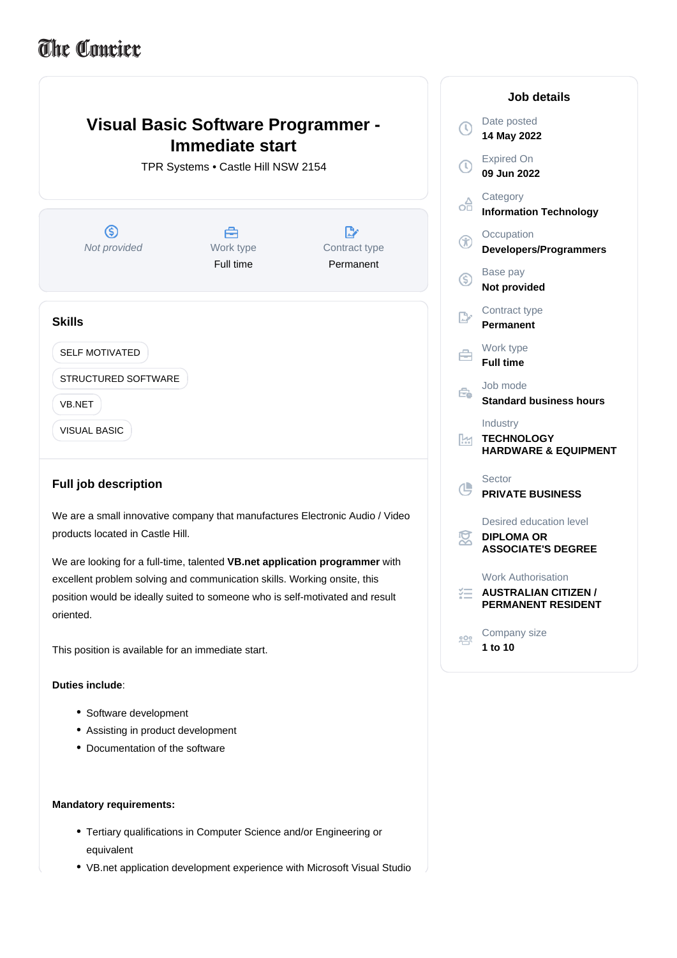# The Coucier

## **Visual Basic Software Programmer - Immediate start** TPR Systems • Castle Hill NSW 2154  $\circledS$ 合  $\mathbb{R}^*$ Not provided Work type Contract type Full time Permanent **Skills** SELF MOTIVATED É STRUCTURED SOFTWARE F VB.NET VISUAL BASIC ſ

### **Full job description**

We are a small innovative company that manufactures Electronic Audio / Video products located in Castle Hill.

We are looking for a full-time, talented **VB.net application programmer** with excellent problem solving and communication skills. Working onsite, this position would be ideally suited to someone who is self-motivated and result oriented.

This position is available for an immediate start.

#### : **Duties include**

- Software development
- Assisting in product development
- Documentation of the software

#### **Mandatory requirements:**

- Tertiary qualifications in Computer Science and/or Engineering or equivalent
- VB.net application development experience with Microsoft Visual Studio

| Job details             |                                                                                       |
|-------------------------|---------------------------------------------------------------------------------------|
| $\overline{\mathbb{O}}$ | Date posted<br>14 May 2022                                                            |
| $\mathbb O$             | <b>Expired On</b><br>09 Jun 2022                                                      |
| oĤ                      | Category<br><b>Information Technology</b>                                             |
| ⊛                       | Occupation<br><b>Developers/Programmers</b>                                           |
| ⑤                       | Base pay<br><b>Not provided</b>                                                       |
| P.                      | Contract type<br>Permanent                                                            |
| 合                       | Work type<br><b>Full time</b>                                                         |
| Ê.                      | Job mode<br><b>Standard business hours</b>                                            |
| k                       | Industry<br><b>TECHNOLOGY</b><br><b>HARDWARE &amp; EQUIPMENT</b>                      |
| 心                       | Sector<br><b>PRIVATE BUSINESS</b>                                                     |
| 窝                       | Desired education level<br><b>DIPLOMA OR</b><br><b>ASSOCIATE'S DEGREE</b>             |
| 狂                       | <b>Work Authorisation</b><br><b>AUSTRALIAN CITIZEN /</b><br><b>PERMANENT RESIDENT</b> |
| 贸                       | Company size<br>1 to 10                                                               |